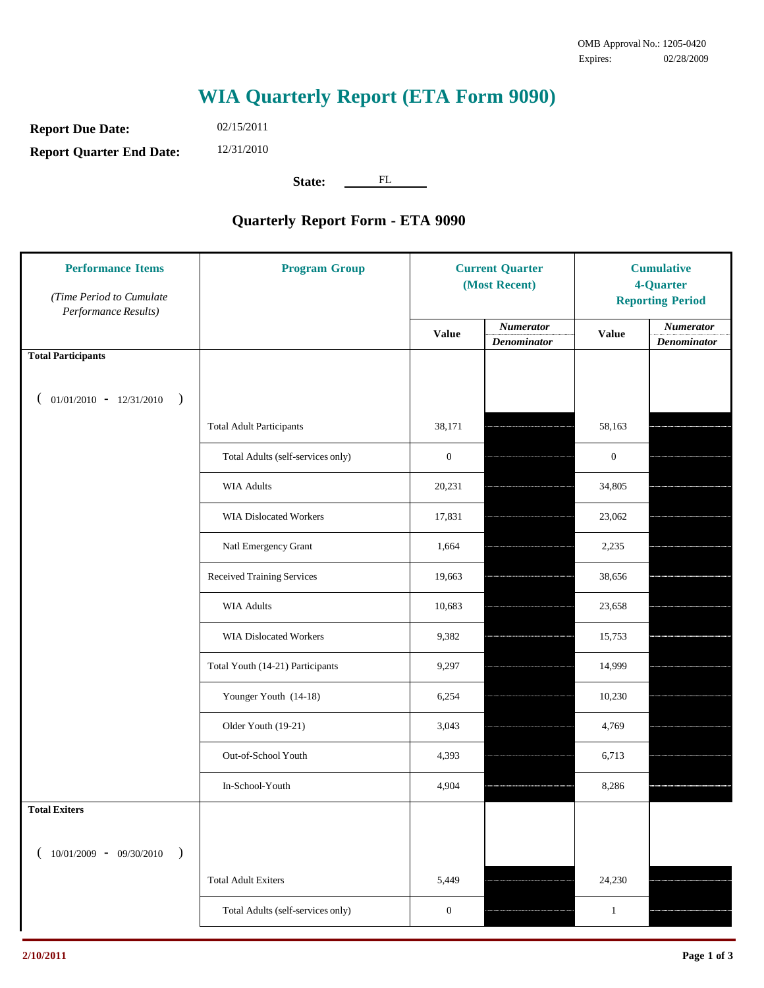## **WIA Quarterly Report (ETA Form 9090)**

**Report Due Date: Report Quarter End Date:** 02/15/2011

12/31/2010

State: FL

## **Quarterly Report Form - ETA 9090**

| <b>Performance Items</b><br>(Time Period to Cumulate<br>Performance Results) | <b>Program Group</b>              | <b>Current Quarter</b><br>(Most Recent) |                                        | <b>Cumulative</b><br>4-Quarter<br><b>Reporting Period</b> |                                 |
|------------------------------------------------------------------------------|-----------------------------------|-----------------------------------------|----------------------------------------|-----------------------------------------------------------|---------------------------------|
|                                                                              |                                   | <b>Value</b>                            | <b>Numerator</b><br><b>Denominator</b> | <b>Value</b>                                              | <b>Numerator</b><br>Denominator |
| <b>Total Participants</b>                                                    |                                   |                                         |                                        |                                                           |                                 |
| $01/01/2010$ - $12/31/2010$<br>$\big)$                                       |                                   |                                         |                                        |                                                           |                                 |
|                                                                              | <b>Total Adult Participants</b>   | 38,171                                  |                                        | 58,163                                                    |                                 |
|                                                                              | Total Adults (self-services only) | $\boldsymbol{0}$                        |                                        | $\mathbf{0}$                                              |                                 |
|                                                                              | <b>WIA Adults</b>                 | 20,231                                  |                                        | 34,805                                                    |                                 |
|                                                                              | <b>WIA Dislocated Workers</b>     | 17,831                                  |                                        | 23,062                                                    |                                 |
|                                                                              | Natl Emergency Grant              | 1,664                                   |                                        | 2,235                                                     |                                 |
|                                                                              | Received Training Services        | 19,663                                  |                                        | 38,656                                                    |                                 |
|                                                                              | <b>WIA Adults</b>                 | 10,683                                  |                                        | 23,658                                                    |                                 |
|                                                                              | WIA Dislocated Workers            | 9,382                                   |                                        | 15,753                                                    |                                 |
|                                                                              | Total Youth (14-21) Participants  | 9,297                                   |                                        | 14,999                                                    |                                 |
|                                                                              | Younger Youth (14-18)             | 6,254                                   |                                        | 10,230                                                    |                                 |
|                                                                              | Older Youth (19-21)               | 3,043                                   |                                        | 4,769                                                     |                                 |
|                                                                              | Out-of-School Youth               | 4,393                                   |                                        | 6,713                                                     |                                 |
|                                                                              | In-School-Youth                   | 4,904                                   |                                        | 8,286                                                     |                                 |
| <b>Total Exiters</b>                                                         |                                   |                                         |                                        |                                                           |                                 |
| $(10/01/2009 - 09/30/2010$<br>$\rightarrow$                                  |                                   |                                         |                                        |                                                           |                                 |
|                                                                              | <b>Total Adult Exiters</b>        | 5,449                                   |                                        | 24,230                                                    |                                 |
|                                                                              | Total Adults (self-services only) | $\boldsymbol{0}$                        |                                        | $\mathbf{1}$                                              |                                 |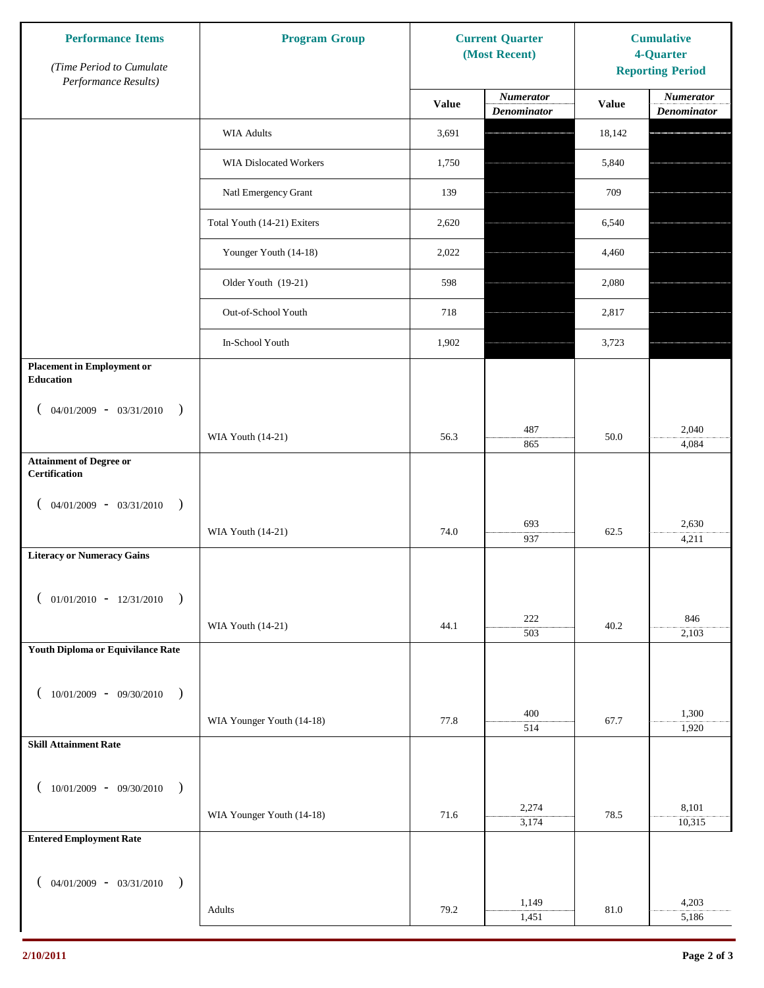| <b>Performance Items</b><br>(Time Period to Cumulate     | <b>Program Group</b>          | <b>Current Quarter</b><br>(Most Recent) |                                 | <b>Cumulative</b><br>4-Quarter<br><b>Reporting Period</b> |                                        |
|----------------------------------------------------------|-------------------------------|-----------------------------------------|---------------------------------|-----------------------------------------------------------|----------------------------------------|
| Performance Results)                                     |                               | <b>Value</b>                            | Numerator<br><b>Denominator</b> | <b>Value</b>                                              | <b>Numerator</b><br><b>Denominator</b> |
|                                                          | <b>WIA Adults</b>             | 3,691                                   |                                 | 18,142                                                    |                                        |
|                                                          | <b>WIA Dislocated Workers</b> | 1,750                                   |                                 | 5,840                                                     |                                        |
|                                                          | Natl Emergency Grant          | 139                                     |                                 | 709                                                       |                                        |
|                                                          | Total Youth (14-21) Exiters   | 2,620                                   |                                 | 6,540                                                     |                                        |
|                                                          | Younger Youth (14-18)         | 2,022                                   |                                 | 4,460                                                     |                                        |
|                                                          | Older Youth (19-21)           | 598                                     |                                 | 2,080                                                     |                                        |
|                                                          | Out-of-School Youth           | 718                                     |                                 | 2,817                                                     |                                        |
|                                                          | In-School Youth               | 1,902                                   |                                 | 3,723                                                     |                                        |
| <b>Placement in Employment or</b><br><b>Education</b>    |                               |                                         |                                 |                                                           |                                        |
| $04/01/2009$ - $03/31/2010$<br>$\rightarrow$<br>$\left($ |                               |                                         |                                 |                                                           |                                        |
|                                                          | WIA Youth (14-21)             | 56.3                                    | 487<br>865                      | 50.0                                                      | 2,040<br>4,084                         |
| <b>Attainment of Degree or</b><br>Certification          |                               |                                         |                                 |                                                           |                                        |
| $($ 04/01/2009 - 03/31/2010<br>$\rightarrow$             |                               |                                         |                                 |                                                           |                                        |
|                                                          | WIA Youth (14-21)             | 74.0                                    | 693<br>937                      | 62.5                                                      | 2,630<br>4,211                         |
| <b>Literacy or Numeracy Gains</b>                        |                               |                                         |                                 |                                                           |                                        |
| $($ 01/01/2010 - 12/31/2010 )                            |                               |                                         |                                 |                                                           |                                        |
|                                                          | WIA Youth (14-21)             | 44.1                                    | 222<br>503                      | 40.2                                                      | 846<br>2,103                           |
| Youth Diploma or Equivilance Rate                        |                               |                                         |                                 |                                                           |                                        |
|                                                          |                               |                                         |                                 |                                                           |                                        |
| $(10/01/2009 - 09/30/2010$<br>$\rightarrow$              |                               |                                         | 400                             |                                                           | 1,300                                  |
|                                                          | WIA Younger Youth (14-18)     | 77.8                                    | 514                             | 67.7                                                      | 1,920                                  |
| <b>Skill Attainment Rate</b>                             |                               |                                         |                                 |                                                           |                                        |
| $(10/01/2009 - 09/30/2010)$                              |                               |                                         |                                 |                                                           |                                        |
|                                                          | WIA Younger Youth (14-18)     | 71.6                                    | 2,274<br>3,174                  | 78.5                                                      | 8,101<br>10,315                        |
| <b>Entered Employment Rate</b>                           |                               |                                         |                                 |                                                           |                                        |
| $($ 04/01/2009 - 03/31/2010 )                            |                               |                                         |                                 |                                                           |                                        |
|                                                          | Adults                        | 79.2                                    | 1,149                           | 81.0                                                      | 4,203                                  |
|                                                          |                               |                                         | 1,451                           |                                                           | 5,186                                  |